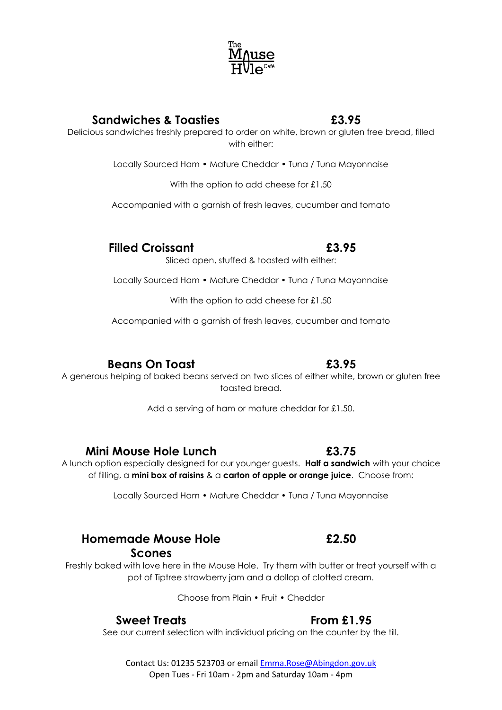

with either: Locally Sourced Ham • Mature Cheddar • Tuna / Tuna Mayonnaise

With the option to add cheese for £1.50

Accompanied with a garnish of fresh leaves, cucumber and tomato

**Filled Croissant £3.95**

Sliced open, stuffed & toasted with either:

Locally Sourced Ham • Mature Cheddar • Tuna / Tuna Mayonnaise

With the option to add cheese for £1.50

Accompanied with a garnish of fresh leaves, cucumber and tomato

# **Beans On Toast £3.95**

A generous helping of baked beans served on two slices of either white, brown or gluten free toasted bread.

Add a serving of ham or mature cheddar for £1.50.

## **Mini Mouse Hole Lunch £3.75**

A lunch option especially designed for our younger guests. **Half a sandwich** with your choice of filling, a **mini box of raisins** & a **carton of apple or orange juice**. Choose from:

Locally Sourced Ham • Mature Cheddar • Tuna / Tuna Mayonnaise

## **Homemade Mouse Hole Scones**

Freshly baked with love here in the Mouse Hole. Try them with butter or treat yourself with a pot of Tiptree strawberry jam and a dollop of clotted cream.

Choose from Plain • Fruit • Cheddar

## **Sweet Treats From £1.95**

See our current selection with individual pricing on the counter by the till.

Contact Us: 01235 523703 or emai[l Emma.Rose@Abingdon.gov.uk](mailto:Emma.Rose@Abingdon.gov.uk) Open Tues - Fri 10am - 2pm and Saturday 10am - 4pm

**£2.50**